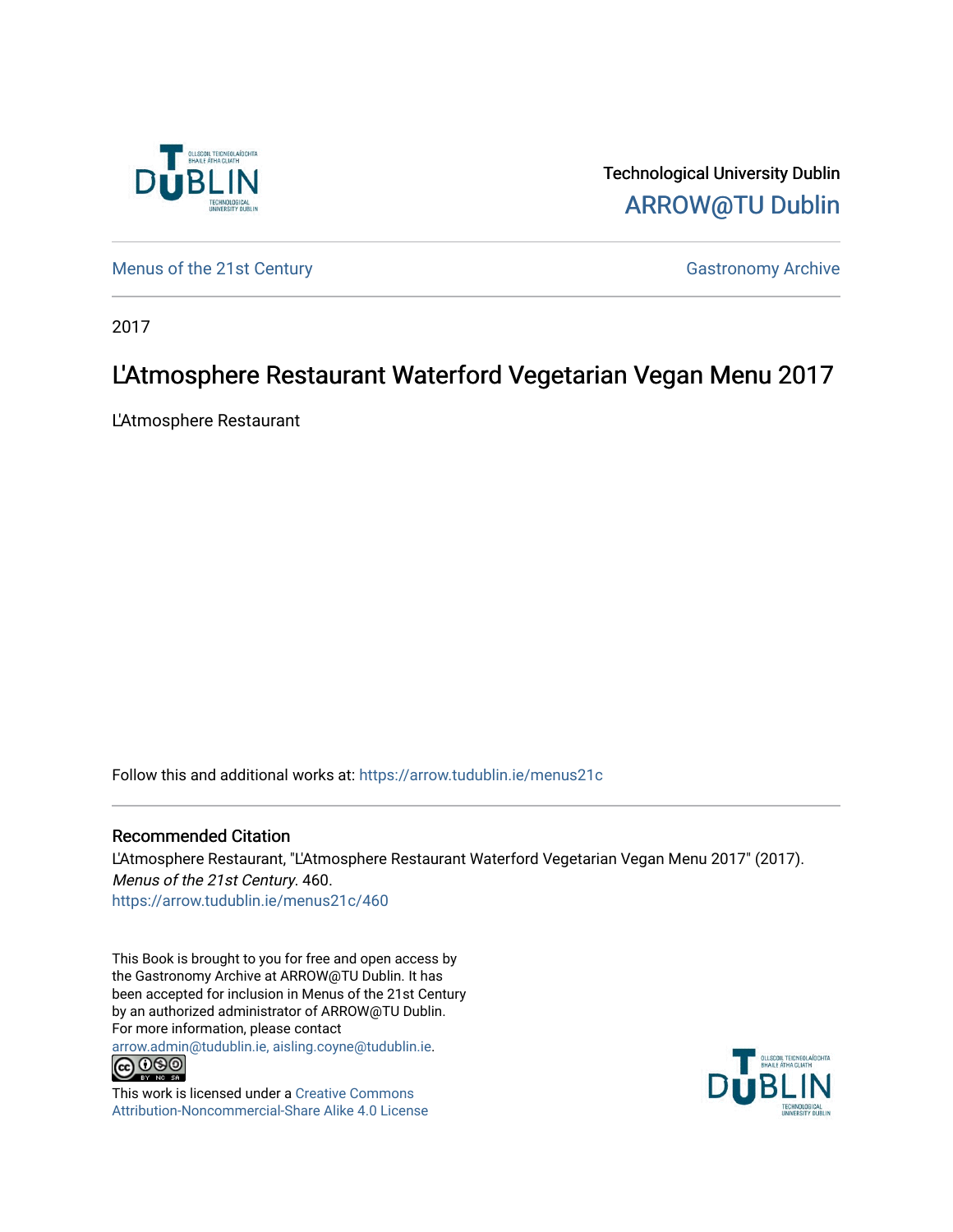

Technological University Dublin [ARROW@TU Dublin](https://arrow.tudublin.ie/) 

[Menus of the 21st Century](https://arrow.tudublin.ie/menus21c) Gastronomy Archive

2017

#### L'Atmosphere Restaurant Waterford Vegetarian Vegan Menu 2017

L'Atmosphere Restaurant

Follow this and additional works at: [https://arrow.tudublin.ie/menus21c](https://arrow.tudublin.ie/menus21c?utm_source=arrow.tudublin.ie%2Fmenus21c%2F460&utm_medium=PDF&utm_campaign=PDFCoverPages) 

#### Recommended Citation

L'Atmosphere Restaurant, "L'Atmosphere Restaurant Waterford Vegetarian Vegan Menu 2017" (2017). Menus of the 21st Century. 460. [https://arrow.tudublin.ie/menus21c/460](https://arrow.tudublin.ie/menus21c/460?utm_source=arrow.tudublin.ie%2Fmenus21c%2F460&utm_medium=PDF&utm_campaign=PDFCoverPages) 

This Book is brought to you for free and open access by the Gastronomy Archive at ARROW@TU Dublin. It has been accepted for inclusion in Menus of the 21st Century by an authorized administrator of ARROW@TU Dublin. For more information, please contact

[arrow.admin@tudublin.ie, aisling.coyne@tudublin.ie](mailto:arrow.admin@tudublin.ie,%20aisling.coyne@tudublin.ie).<br>COOO



This work is licensed under a [Creative Commons](http://creativecommons.org/licenses/by-nc-sa/4.0/) [Attribution-Noncommercial-Share Alike 4.0 License](http://creativecommons.org/licenses/by-nc-sa/4.0/)

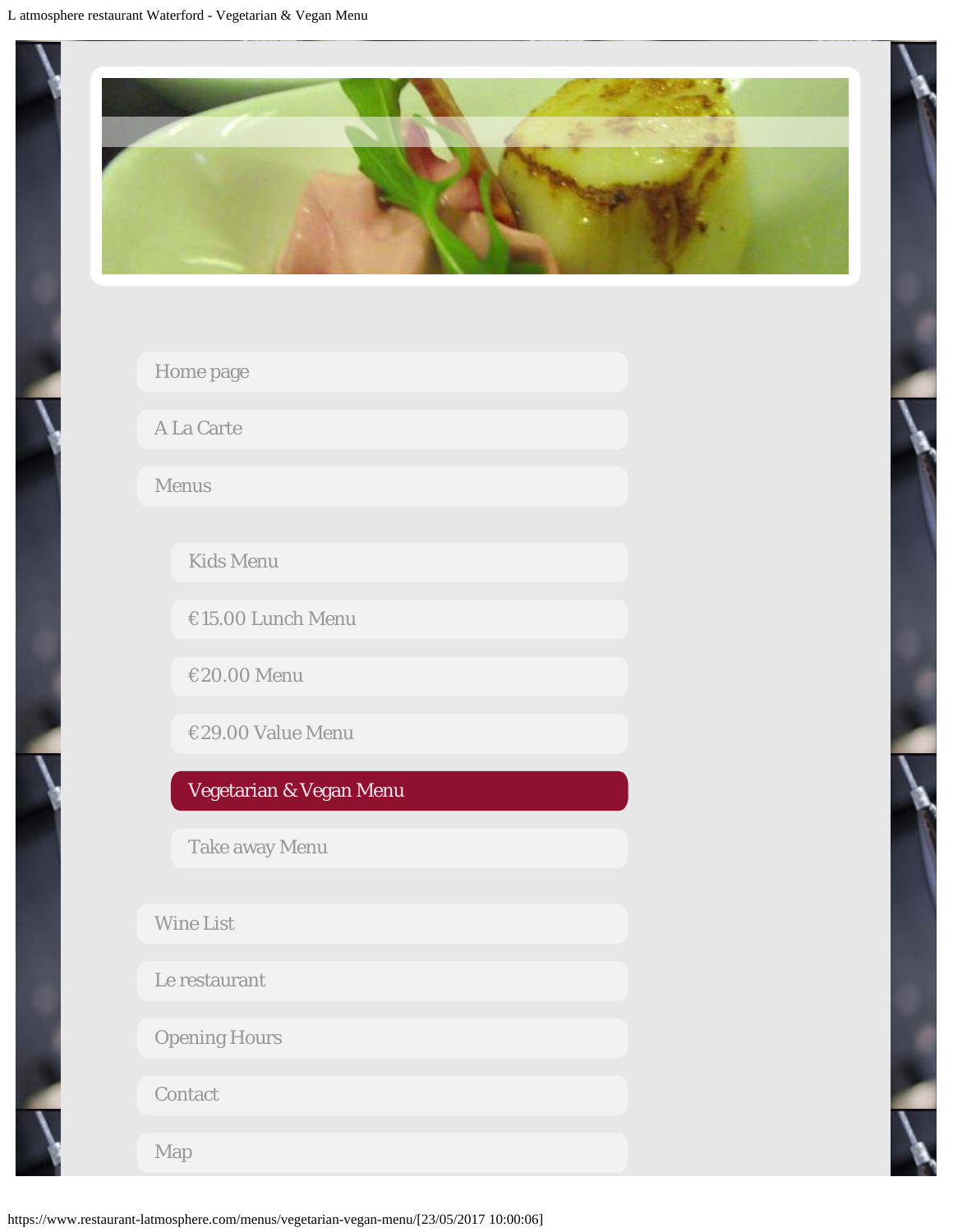<span id="page-1-0"></span>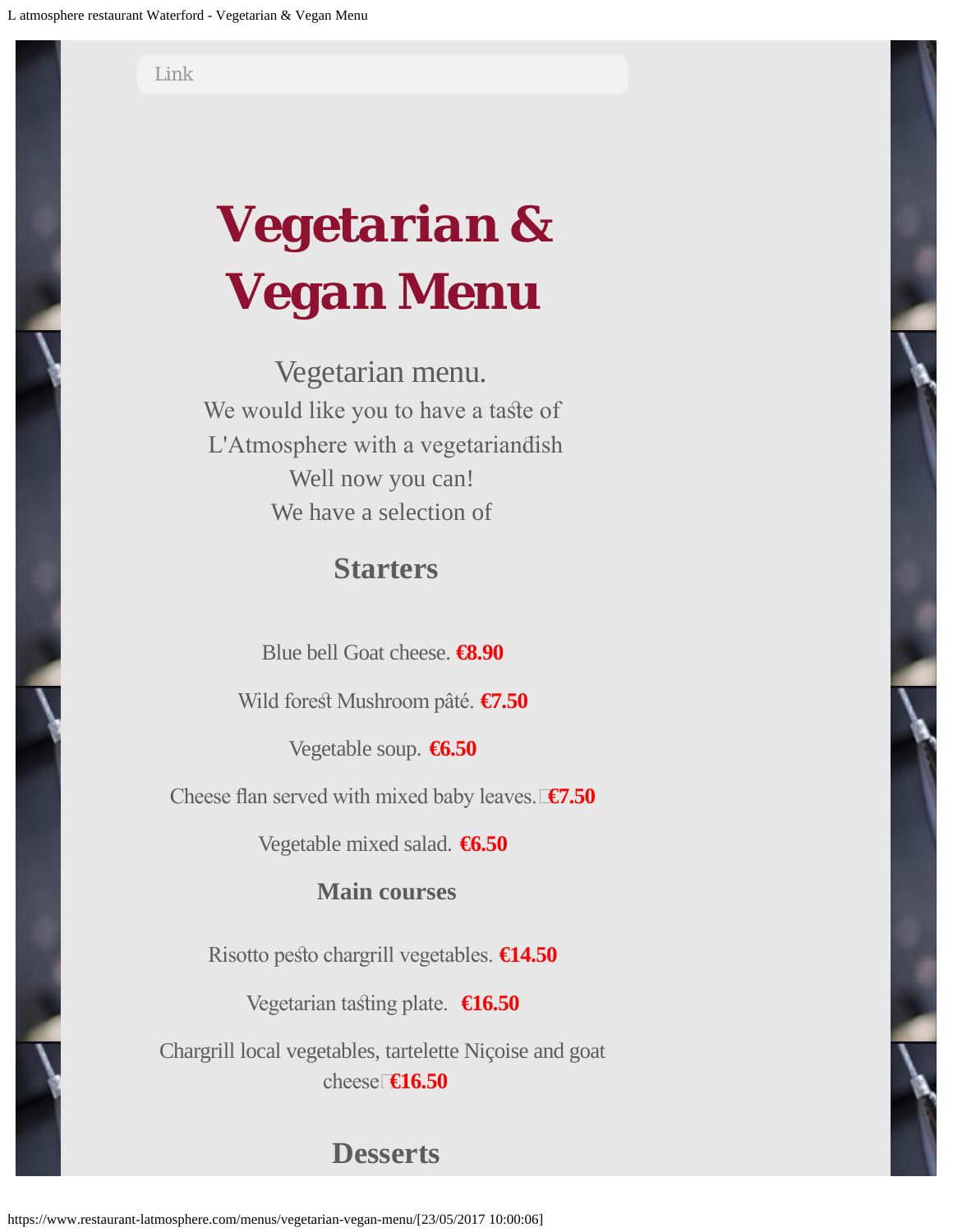[Link](https://www.restaurant-latmosphere.com/link/)

# *Vegetarian & Vegan Menu*

Vegetarian menu. We would like you to have a taste of L'Atmosphere with a vegetarian dish Well now you can! We have a selection of

## **Starters**

Blue bell Goat cheese. **€8.90**

Wild forest Mushroom pâté. **€7.50** 

Vegetable soup. **€6.50**

Cheese fan served with mixed baby leaves. **€7.50**

Vegetable mixed salad. **€6.50**

#### **Main courses**

Risotto pesto chargrill vegetables. **€14.50** 

Vegetarian tasing plate. **€16.50**

Chargrill local vegetables, tartelette Niçoise and goat cheese **€16.50**

## **Desserts**